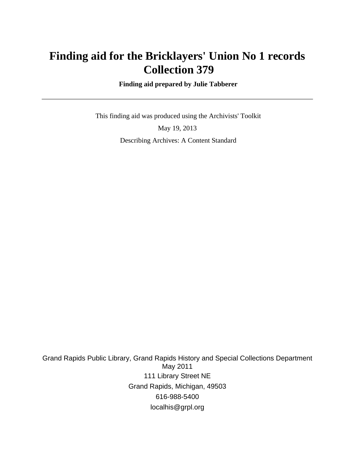## **Finding aid for the Bricklayers' Union No 1 records Collection 379**

 **Finding aid prepared by Julie Tabberer**

 This finding aid was produced using the Archivists' Toolkit May 19, 2013 Describing Archives: A Content Standard

Grand Rapids Public Library, Grand Rapids History and Special Collections Department May 2011 111 Library Street NE Grand Rapids, Michigan, 49503 616-988-5400 localhis@grpl.org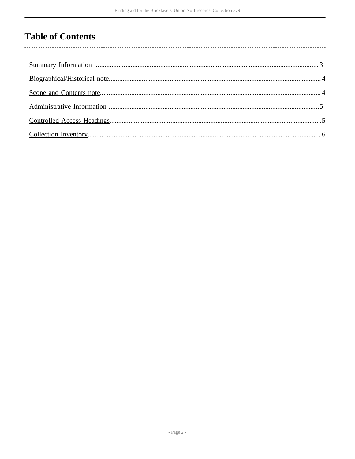## **Table of Contents**

l,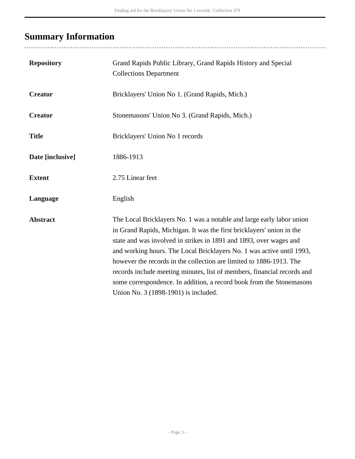# <span id="page-2-0"></span>**Summary Information**

..................................

| <b>Repository</b> | Grand Rapids Public Library, Grand Rapids History and Special<br><b>Collections Department</b>                                                                                                                                                                                                                                                                                                                                                                                                                                                                  |
|-------------------|-----------------------------------------------------------------------------------------------------------------------------------------------------------------------------------------------------------------------------------------------------------------------------------------------------------------------------------------------------------------------------------------------------------------------------------------------------------------------------------------------------------------------------------------------------------------|
| <b>Creator</b>    | Bricklayers' Union No 1. (Grand Rapids, Mich.)                                                                                                                                                                                                                                                                                                                                                                                                                                                                                                                  |
| <b>Creator</b>    | Stonemasons' Union No 3. (Grand Rapids, Mich.)                                                                                                                                                                                                                                                                                                                                                                                                                                                                                                                  |
| <b>Title</b>      | Bricklayers' Union No 1 records                                                                                                                                                                                                                                                                                                                                                                                                                                                                                                                                 |
| Date [inclusive]  | 1886-1913                                                                                                                                                                                                                                                                                                                                                                                                                                                                                                                                                       |
| <b>Extent</b>     | 2.75 Linear feet                                                                                                                                                                                                                                                                                                                                                                                                                                                                                                                                                |
| Language          | English                                                                                                                                                                                                                                                                                                                                                                                                                                                                                                                                                         |
| <b>Abstract</b>   | The Local Bricklayers No. 1 was a notable and large early labor union<br>in Grand Rapids, Michigan. It was the first bricklayers' union in the<br>state and was involved in strikes in 1891 and 1893, over wages and<br>and working hours. The Local Bricklayers No. 1 was active until 1993,<br>however the records in the collection are limited to 1886-1913. The<br>records include meeting minutes, list of members, financial records and<br>some correspondence. In addition, a record book from the Stonemasons<br>Union No. 3 (1898-1901) is included. |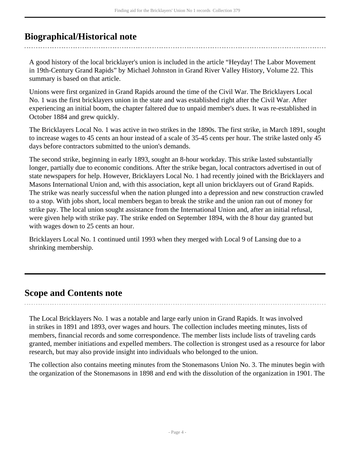## <span id="page-3-0"></span>**Biographical/Historical note**

A good history of the local bricklayer's union is included in the article "Heyday! The Labor Movement in 19th-Century Grand Rapids" by Michael Johnston in Grand River Valley History, Volume 22. This summary is based on that article.

Unions were first organized in Grand Rapids around the time of the Civil War. The Bricklayers Local No. 1 was the first bricklayers union in the state and was established right after the Civil War. After experiencing an initial boom, the chapter faltered due to unpaid member's dues. It was re-established in October 1884 and grew quickly.

The Bricklayers Local No. 1 was active in two strikes in the 1890s. The first strike, in March 1891, sought to increase wages to 45 cents an hour instead of a scale of 35-45 cents per hour. The strike lasted only 45 days before contractors submitted to the union's demands.

The second strike, beginning in early 1893, sought an 8-hour workday. This strike lasted substantially longer, partially due to economic conditions. After the strike began, local contractors advertised in out of state newspapers for help. However, Bricklayers Local No. 1 had recently joined with the Bricklayers and Masons International Union and, with this association, kept all union bricklayers out of Grand Rapids. The strike was nearly successful when the nation plunged into a depression and new construction crawled to a stop. With jobs short, local members began to break the strike and the union ran out of money for strike pay. The local union sought assistance from the International Union and, after an initial refusal, were given help with strike pay. The strike ended on September 1894, with the 8 hour day granted but with wages down to 25 cents an hour.

Bricklayers Local No. 1 continued until 1993 when they merged with Local 9 of Lansing due to a shrinking membership.

### <span id="page-3-1"></span>**Scope and Contents note**

The Local Bricklayers No. 1 was a notable and large early union in Grand Rapids. It was involved in strikes in 1891 and 1893, over wages and hours. The collection includes meeting minutes, lists of members, financial records and some correspondence. The member lists include lists of traveling cards granted, member initiations and expelled members. The collection is strongest used as a resource for labor research, but may also provide insight into individuals who belonged to the union.

The collection also contains meeting minutes from the Stonemasons Union No. 3. The minutes begin with the organization of the Stonemasons in 1898 and end with the dissolution of the organization in 1901. The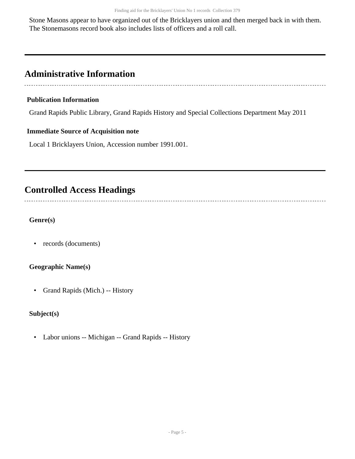Stone Masons appear to have organized out of the Bricklayers union and then merged back in with them. The Stonemasons record book also includes lists of officers and a roll call.

## <span id="page-4-0"></span>**Administrative Information**

#### **Publication Information**

Grand Rapids Public Library, Grand Rapids History and Special Collections Department May 2011

#### **Immediate Source of Acquisition note**

Local 1 Bricklayers Union, Accession number 1991.001.

### <span id="page-4-1"></span>**Controlled Access Headings**

**Genre(s)**

• records (documents)

#### **Geographic Name(s)**

• Grand Rapids (Mich.) -- History

### **Subject(s)**

• Labor unions -- Michigan -- Grand Rapids -- History